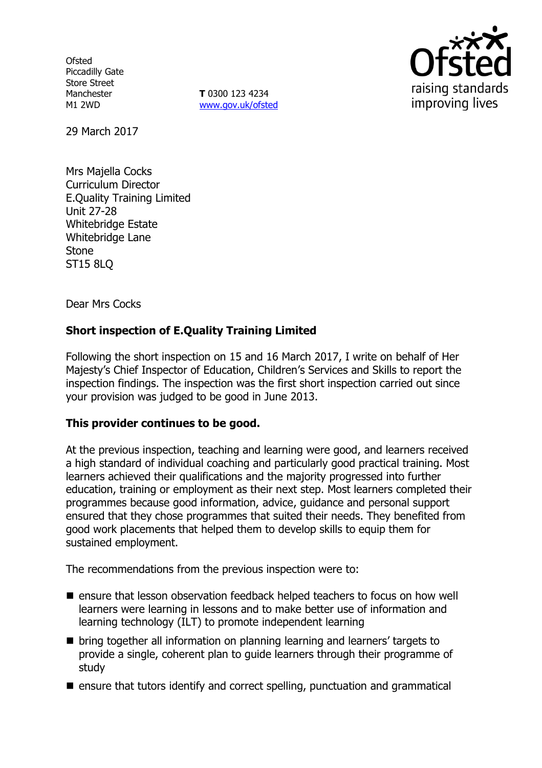**Ofsted** Piccadilly Gate Store Street Manchester M1 2WD

**T** 0300 123 4234 www.gov.uk/ofsted



29 March 2017

Mrs Majella Cocks Curriculum Director E.Quality Training Limited Unit 27-28 Whitebridge Estate Whitebridge Lane Stone ST15 8LQ

Dear Mrs Cocks

# **Short inspection of E.Quality Training Limited**

Following the short inspection on 15 and 16 March 2017, I write on behalf of Her Majesty's Chief Inspector of Education, Children's Services and Skills to report the inspection findings. The inspection was the first short inspection carried out since your provision was judged to be good in June 2013.

### **This provider continues to be good.**

At the previous inspection, teaching and learning were good, and learners received a high standard of individual coaching and particularly good practical training. Most learners achieved their qualifications and the majority progressed into further education, training or employment as their next step. Most learners completed their programmes because good information, advice, guidance and personal support ensured that they chose programmes that suited their needs. They benefited from good work placements that helped them to develop skills to equip them for sustained employment.

The recommendations from the previous inspection were to:

- **E** ensure that lesson observation feedback helped teachers to focus on how well learners were learning in lessons and to make better use of information and learning technology (ILT) to promote independent learning
- $\blacksquare$  bring together all information on planning learning and learners' targets to provide a single, coherent plan to guide learners through their programme of study
- $\blacksquare$  ensure that tutors identify and correct spelling, punctuation and grammatical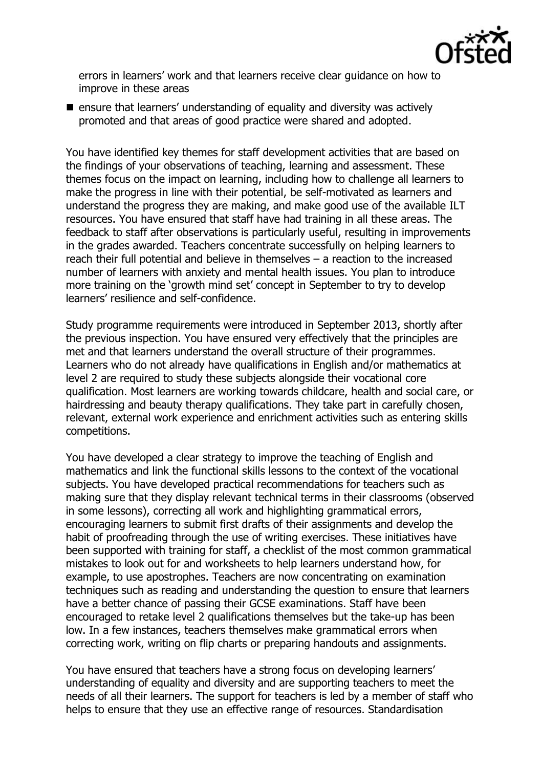

errors in learners' work and that learners receive clear guidance on how to improve in these areas

 $\blacksquare$  ensure that learners' understanding of equality and diversity was actively promoted and that areas of good practice were shared and adopted.

You have identified key themes for staff development activities that are based on the findings of your observations of teaching, learning and assessment. These themes focus on the impact on learning, including how to challenge all learners to make the progress in line with their potential, be self-motivated as learners and understand the progress they are making, and make good use of the available ILT resources. You have ensured that staff have had training in all these areas. The feedback to staff after observations is particularly useful, resulting in improvements in the grades awarded. Teachers concentrate successfully on helping learners to reach their full potential and believe in themselves – a reaction to the increased number of learners with anxiety and mental health issues. You plan to introduce more training on the 'growth mind set' concept in September to try to develop learners' resilience and self-confidence.

Study programme requirements were introduced in September 2013, shortly after the previous inspection. You have ensured very effectively that the principles are met and that learners understand the overall structure of their programmes. Learners who do not already have qualifications in English and/or mathematics at level 2 are required to study these subjects alongside their vocational core qualification. Most learners are working towards childcare, health and social care, or hairdressing and beauty therapy qualifications. They take part in carefully chosen, relevant, external work experience and enrichment activities such as entering skills competitions.

You have developed a clear strategy to improve the teaching of English and mathematics and link the functional skills lessons to the context of the vocational subjects. You have developed practical recommendations for teachers such as making sure that they display relevant technical terms in their classrooms (observed in some lessons), correcting all work and highlighting grammatical errors, encouraging learners to submit first drafts of their assignments and develop the habit of proofreading through the use of writing exercises. These initiatives have been supported with training for staff, a checklist of the most common grammatical mistakes to look out for and worksheets to help learners understand how, for example, to use apostrophes. Teachers are now concentrating on examination techniques such as reading and understanding the question to ensure that learners have a better chance of passing their GCSE examinations. Staff have been encouraged to retake level 2 qualifications themselves but the take-up has been low. In a few instances, teachers themselves make grammatical errors when correcting work, writing on flip charts or preparing handouts and assignments.

You have ensured that teachers have a strong focus on developing learners' understanding of equality and diversity and are supporting teachers to meet the needs of all their learners. The support for teachers is led by a member of staff who helps to ensure that they use an effective range of resources. Standardisation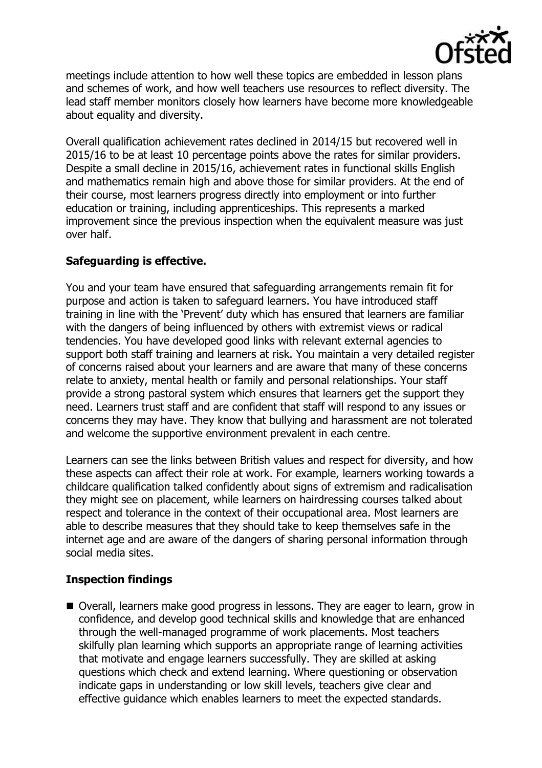

meetings include attention to how well these topics are embedded in lesson plans and schemes of work, and how well teachers use resources to reflect diversity. The lead staff member monitors closely how learners have become more knowledgeable about equality and diversity.

Overall qualification achievement rates declined in 2014/15 but recovered well in 2015/16 to be at least 10 percentage points above the rates for similar providers. Despite a small decline in 2015/16, achievement rates in functional skills English and mathematics remain high and above those for similar providers. At the end of their course, most learners progress directly into employment or into further education or training, including apprenticeships. This represents a marked improvement since the previous inspection when the equivalent measure was just over half.

# **Safeguarding is effective.**

You and your team have ensured that safeguarding arrangements remain fit for purpose and action is taken to safeguard learners. You have introduced staff training in line with the 'Prevent' duty which has ensured that learners are familiar with the dangers of being influenced by others with extremist views or radical tendencies. You have developed good links with relevant external agencies to support both staff training and learners at risk. You maintain a very detailed register of concerns raised about your learners and are aware that many of these concerns relate to anxiety, mental health or family and personal relationships. Your staff provide a strong pastoral system which ensures that learners get the support they need. Learners trust staff and are confident that staff will respond to any issues or concerns they may have. They know that bullying and harassment are not tolerated and welcome the supportive environment prevalent in each centre.

Learners can see the links between British values and respect for diversity, and how these aspects can affect their role at work. For example, learners working towards a childcare qualification talked confidently about signs of extremism and radicalisation they might see on placement, while learners on hairdressing courses talked about respect and tolerance in the context of their occupational area. Most learners are able to describe measures that they should take to keep themselves safe in the internet age and are aware of the dangers of sharing personal information through social media sites.

## **Inspection findings**

 Overall, learners make good progress in lessons. They are eager to learn, grow in confidence, and develop good technical skills and knowledge that are enhanced through the well-managed programme of work placements. Most teachers skilfully plan learning which supports an appropriate range of learning activities that motivate and engage learners successfully. They are skilled at asking questions which check and extend learning. Where questioning or observation indicate gaps in understanding or low skill levels, teachers give clear and effective guidance which enables learners to meet the expected standards.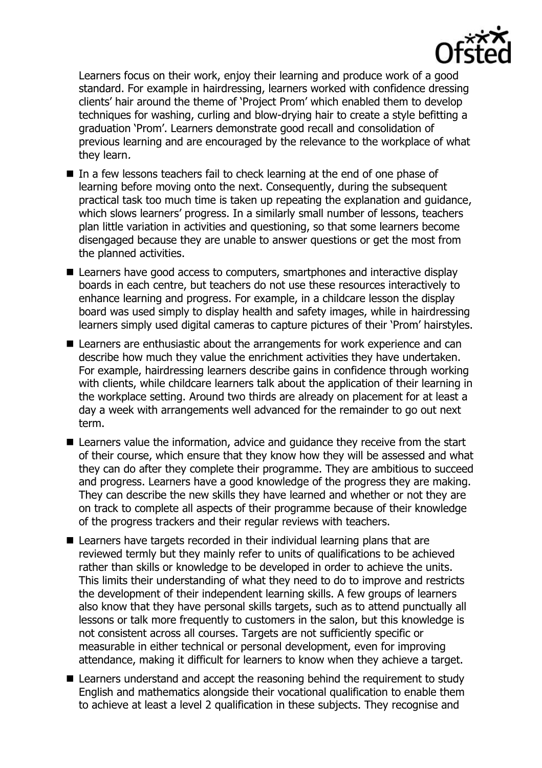

Learners focus on their work, enjoy their learning and produce work of a good standard. For example in hairdressing, learners worked with confidence dressing clients' hair around the theme of 'Project Prom' which enabled them to develop techniques for washing, curling and blow-drying hair to create a style befitting a graduation 'Prom'. Learners demonstrate good recall and consolidation of previous learning and are encouraged by the relevance to the workplace of what they learn.

- In a few lessons teachers fail to check learning at the end of one phase of learning before moving onto the next. Consequently, during the subsequent practical task too much time is taken up repeating the explanation and guidance, which slows learners' progress. In a similarly small number of lessons, teachers plan little variation in activities and questioning, so that some learners become disengaged because they are unable to answer questions or get the most from the planned activities.
- Learners have good access to computers, smartphones and interactive display boards in each centre, but teachers do not use these resources interactively to enhance learning and progress. For example, in a childcare lesson the display board was used simply to display health and safety images, while in hairdressing learners simply used digital cameras to capture pictures of their 'Prom' hairstyles.
- Learners are enthusiastic about the arrangements for work experience and can describe how much they value the enrichment activities they have undertaken. For example, hairdressing learners describe gains in confidence through working with clients, while childcare learners talk about the application of their learning in the workplace setting. Around two thirds are already on placement for at least a day a week with arrangements well advanced for the remainder to go out next term.
- Learners value the information, advice and quidance they receive from the start of their course, which ensure that they know how they will be assessed and what they can do after they complete their programme. They are ambitious to succeed and progress. Learners have a good knowledge of the progress they are making. They can describe the new skills they have learned and whether or not they are on track to complete all aspects of their programme because of their knowledge of the progress trackers and their regular reviews with teachers.
- Learners have targets recorded in their individual learning plans that are reviewed termly but they mainly refer to units of qualifications to be achieved rather than skills or knowledge to be developed in order to achieve the units. This limits their understanding of what they need to do to improve and restricts the development of their independent learning skills. A few groups of learners also know that they have personal skills targets, such as to attend punctually all lessons or talk more frequently to customers in the salon, but this knowledge is not consistent across all courses. Targets are not sufficiently specific or measurable in either technical or personal development, even for improving attendance, making it difficult for learners to know when they achieve a target.
- Learners understand and accept the reasoning behind the requirement to study English and mathematics alongside their vocational qualification to enable them to achieve at least a level 2 qualification in these subjects. They recognise and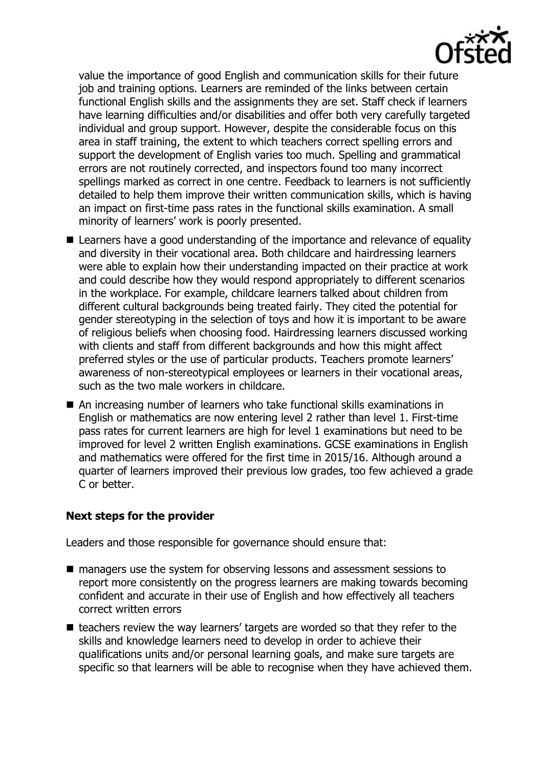

value the importance of good English and communication skills for their future job and training options. Learners are reminded of the links between certain functional English skills and the assignments they are set. Staff check if learners have learning difficulties and/or disabilities and offer both very carefully targeted individual and group support. However, despite the considerable focus on this area in staff training, the extent to which teachers correct spelling errors and support the development of English varies too much. Spelling and grammatical errors are not routinely corrected, and inspectors found too many incorrect spellings marked as correct in one centre. Feedback to learners is not sufficiently detailed to help them improve their written communication skills, which is having an impact on first-time pass rates in the functional skills examination. A small minority of learners' work is poorly presented.

- Learners have a good understanding of the importance and relevance of equality and diversity in their vocational area. Both childcare and hairdressing learners were able to explain how their understanding impacted on their practice at work and could describe how they would respond appropriately to different scenarios in the workplace. For example, childcare learners talked about children from different cultural backgrounds being treated fairly. They cited the potential for gender stereotyping in the selection of toys and how it is important to be aware of religious beliefs when choosing food. Hairdressing learners discussed working with clients and staff from different backgrounds and how this might affect preferred styles or the use of particular products. Teachers promote learners' awareness of non-stereotypical employees or learners in their vocational areas, such as the two male workers in childcare.
- An increasing number of learners who take functional skills examinations in English or mathematics are now entering level 2 rather than level 1. First-time pass rates for current learners are high for level 1 examinations but need to be improved for level 2 written English examinations. GCSE examinations in English and mathematics were offered for the first time in 2015/16. Although around a quarter of learners improved their previous low grades, too few achieved a grade C or better.

## **Next steps for the provider**

Leaders and those responsible for governance should ensure that:

- managers use the system for observing lessons and assessment sessions to report more consistently on the progress learners are making towards becoming confident and accurate in their use of English and how effectively all teachers correct written errors
- $\blacksquare$  teachers review the way learners' targets are worded so that they refer to the skills and knowledge learners need to develop in order to achieve their qualifications units and/or personal learning goals, and make sure targets are specific so that learners will be able to recognise when they have achieved them.